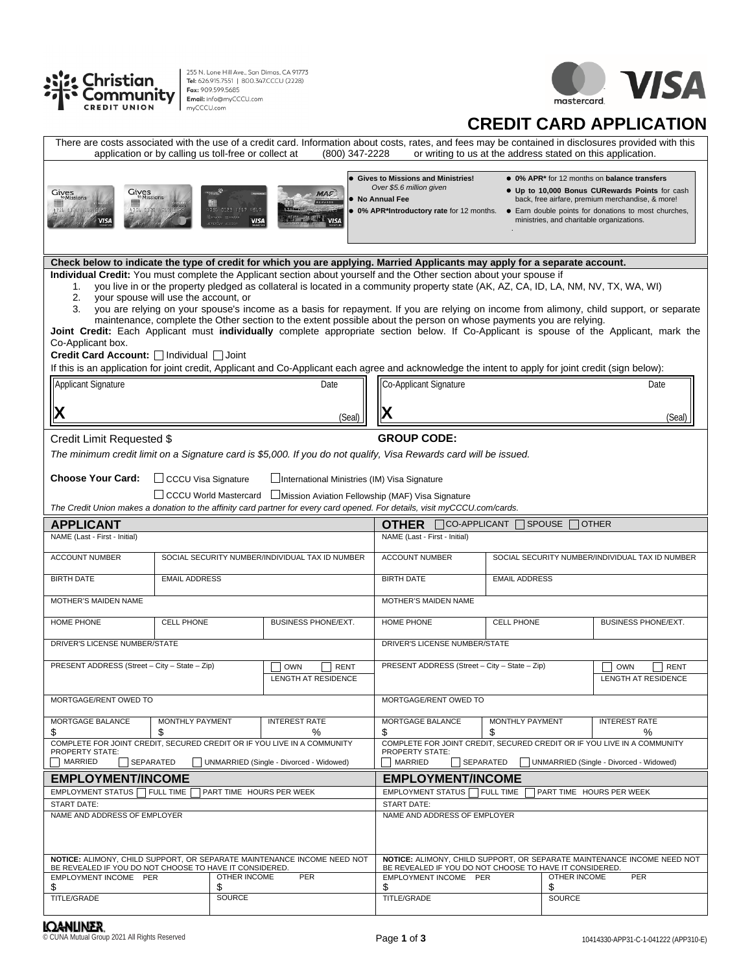



## **CREDIT CARD APPLICATION**

| application or by calling us toll-free or collect at                                                                                                                                                                                                                                                                                                                                                                                                                                  |                      |                                                                            | (800) 347-2228                                  |                                                                                                                                                                      | or writing to us at the address stated on this application.                                                                                                                                                                                                                                                                                                                                                       | There are costs associated with the use of a credit card. Information about costs, rates, and fees may be contained in disclosures provided with this                                                                                                                                      |  |  |  |
|---------------------------------------------------------------------------------------------------------------------------------------------------------------------------------------------------------------------------------------------------------------------------------------------------------------------------------------------------------------------------------------------------------------------------------------------------------------------------------------|----------------------|----------------------------------------------------------------------------|-------------------------------------------------|----------------------------------------------------------------------------------------------------------------------------------------------------------------------|-------------------------------------------------------------------------------------------------------------------------------------------------------------------------------------------------------------------------------------------------------------------------------------------------------------------------------------------------------------------------------------------------------------------|--------------------------------------------------------------------------------------------------------------------------------------------------------------------------------------------------------------------------------------------------------------------------------------------|--|--|--|
| Gives<br>to Missions<br>Gives<br><sup>to</sup> Missions<br>1755 0130 8557<br><b>VISA</b>                                                                                                                                                                                                                                                                                                                                                                                              | 1756 0138 4567       | <b>100</b><br>4756 0123 4567 4567<br><b>VISA</b><br><b>CREATING JULIAN</b> | <b>MAS</b><br>$\equiv$ VISA                     | <b>Gives to Missions and Ministries!</b><br>Over \$5.6 million given<br>• No Annual Fee<br>. 0% APR*Introductory rate for 12 months.                                 | ministries, and charitable organizations.                                                                                                                                                                                                                                                                                                                                                                         | • 0% APR* for 12 months on balance transfers<br>. Up to 10,000 Bonus CURewards Points for cash<br>back, free airfare, premium merchandise, & more!<br>• Earn double points for donations to most churches,                                                                                 |  |  |  |
|                                                                                                                                                                                                                                                                                                                                                                                                                                                                                       |                      |                                                                            |                                                 |                                                                                                                                                                      | Check below to indicate the type of credit for which you are applying. Married Applicants may apply for a separate account.                                                                                                                                                                                                                                                                                       |                                                                                                                                                                                                                                                                                            |  |  |  |
| 1.<br>2.<br>your spouse will use the account, or<br>3.<br>Co-Applicant box.<br>Credit Card Account: □ Individual □ Joint<br>Applicant Signature                                                                                                                                                                                                                                                                                                                                       |                      |                                                                            | Date                                            | Individual Credit: You must complete the Applicant section about yourself and the Other section about your spouse if<br>Co-Applicant Signature                       | you live in or the property pledged as collateral is located in a community property state (AK, AZ, CA, ID, LA, NM, NV, TX, WA, WI)<br>maintenance, complete the Other section to the extent possible about the person on whose payments you are relying.<br>If this is an application for joint credit, Applicant and Co-Applicant each agree and acknowledge the intent to apply for joint credit (sign below): | you are relying on your spouse's income as a basis for repayment. If you are relying on income from alimony, child support, or separate<br>Joint Credit: Each Applicant must individually complete appropriate section below. If Co-Applicant is spouse of the Applicant, mark the<br>Date |  |  |  |
|                                                                                                                                                                                                                                                                                                                                                                                                                                                                                       |                      |                                                                            |                                                 |                                                                                                                                                                      |                                                                                                                                                                                                                                                                                                                                                                                                                   |                                                                                                                                                                                                                                                                                            |  |  |  |
| X                                                                                                                                                                                                                                                                                                                                                                                                                                                                                     |                      |                                                                            | (Seal)                                          |                                                                                                                                                                      |                                                                                                                                                                                                                                                                                                                                                                                                                   | (Seal)                                                                                                                                                                                                                                                                                     |  |  |  |
| <b>GROUP CODE:</b><br>Credit Limit Requested \$<br>The minimum credit limit on a Signature card is \$5,000. If you do not qualify, Visa Rewards card will be issued.<br><b>Choose Your Card:</b><br>□ CCCU Visa Signature<br>International Ministries (IM) Visa Signature<br>□ CCCU World Mastercard □ Mission Aviation Fellowship (MAF) Visa Signature<br>The Credit Union makes a donation to the affinity card partner for every card opened. For details, visit myCCCU.com/cards. |                      |                                                                            |                                                 |                                                                                                                                                                      |                                                                                                                                                                                                                                                                                                                                                                                                                   |                                                                                                                                                                                                                                                                                            |  |  |  |
| <b>APPLICANT</b>                                                                                                                                                                                                                                                                                                                                                                                                                                                                      |                      |                                                                            |                                                 | <b>OTHER</b><br>$\Box$ CO-APPLICANT<br><b>SPOUSE</b><br>$\exists$ other                                                                                              |                                                                                                                                                                                                                                                                                                                                                                                                                   |                                                                                                                                                                                                                                                                                            |  |  |  |
| NAME (Last - First - Initial)                                                                                                                                                                                                                                                                                                                                                                                                                                                         |                      |                                                                            |                                                 | NAME (Last - First - Initial)                                                                                                                                        |                                                                                                                                                                                                                                                                                                                                                                                                                   |                                                                                                                                                                                                                                                                                            |  |  |  |
| <b>ACCOUNT NUMBER</b>                                                                                                                                                                                                                                                                                                                                                                                                                                                                 |                      |                                                                            | SOCIAL SECURITY NUMBER/INDIVIDUAL TAX ID NUMBER | <b>ACCOUNT NUMBER</b>                                                                                                                                                |                                                                                                                                                                                                                                                                                                                                                                                                                   | SOCIAL SECURITY NUMBER/INDIVIDUAL TAX ID NUMBER                                                                                                                                                                                                                                            |  |  |  |
| <b>BIRTH DATE</b>                                                                                                                                                                                                                                                                                                                                                                                                                                                                     | <b>EMAIL ADDRESS</b> |                                                                            |                                                 |                                                                                                                                                                      | <b>BIRTH DATE</b><br><b>EMAIL ADDRESS</b>                                                                                                                                                                                                                                                                                                                                                                         |                                                                                                                                                                                                                                                                                            |  |  |  |
| MOTHER'S MAIDEN NAME                                                                                                                                                                                                                                                                                                                                                                                                                                                                  |                      |                                                                            |                                                 | MOTHER'S MAIDEN NAME                                                                                                                                                 |                                                                                                                                                                                                                                                                                                                                                                                                                   |                                                                                                                                                                                                                                                                                            |  |  |  |
| HOME PHONE                                                                                                                                                                                                                                                                                                                                                                                                                                                                            | <b>CELL PHONE</b>    |                                                                            | <b>BUSINESS PHONE/EXT.</b>                      | HOME PHONE                                                                                                                                                           | CELL PHONE                                                                                                                                                                                                                                                                                                                                                                                                        | BUSINESS PHONE/EXT.                                                                                                                                                                                                                                                                        |  |  |  |
| DRIVER'S LICENSE NUMBER/STATE                                                                                                                                                                                                                                                                                                                                                                                                                                                         |                      |                                                                            |                                                 | DRIVER'S LICENSE NUMBER/STATE                                                                                                                                        |                                                                                                                                                                                                                                                                                                                                                                                                                   |                                                                                                                                                                                                                                                                                            |  |  |  |
| PRESENT ADDRESS (Street - City - State - Zip)                                                                                                                                                                                                                                                                                                                                                                                                                                         |                      |                                                                            | <b>OWN</b><br><b>RENT</b>                       | PRESENT ADDRESS (Street - City - State - Zip)<br><b>OWN</b><br><b>RENT</b>                                                                                           |                                                                                                                                                                                                                                                                                                                                                                                                                   |                                                                                                                                                                                                                                                                                            |  |  |  |
|                                                                                                                                                                                                                                                                                                                                                                                                                                                                                       |                      |                                                                            | LENGTH AT RESIDENCE                             |                                                                                                                                                                      | <b>LENGTH AT RESIDENCE</b>                                                                                                                                                                                                                                                                                                                                                                                        |                                                                                                                                                                                                                                                                                            |  |  |  |
| MORTGAGE/RENT OWED TO                                                                                                                                                                                                                                                                                                                                                                                                                                                                 |                      |                                                                            |                                                 | MORTGAGE/RENT OWED TO                                                                                                                                                |                                                                                                                                                                                                                                                                                                                                                                                                                   |                                                                                                                                                                                                                                                                                            |  |  |  |
| MORTGAGE BALANCE                                                                                                                                                                                                                                                                                                                                                                                                                                                                      | MONTHLY PAYMENT      |                                                                            | <b>INTEREST RATE</b>                            | <b>MORTGAGE BALANCE</b><br>\$                                                                                                                                        | MONTHLY PAYMENT<br>\$                                                                                                                                                                                                                                                                                                                                                                                             | <b>INTEREST RATE</b><br>%                                                                                                                                                                                                                                                                  |  |  |  |
| \$<br>\$<br>℅<br>COMPLETE FOR JOINT CREDIT, SECURED CREDIT OR IF YOU LIVE IN A COMMUNITY<br><b>PROPERTY STATE:</b><br>MARRIED<br>SEPARATED<br>UNMARRIED (Single - Divorced - Widowed)                                                                                                                                                                                                                                                                                                 |                      |                                                                            |                                                 | COMPLETE FOR JOINT CREDIT, SECURED CREDIT OR IF YOU LIVE IN A COMMUNITY<br><b>PROPERTY STATE:</b><br>MARRIED<br>SEPARATED<br>UNMARRIED (Single - Divorced - Widowed) |                                                                                                                                                                                                                                                                                                                                                                                                                   |                                                                                                                                                                                                                                                                                            |  |  |  |
| <b>EMPLOYMENT/INCOME</b>                                                                                                                                                                                                                                                                                                                                                                                                                                                              |                      |                                                                            |                                                 | <b>EMPLOYMENT/INCOME</b>                                                                                                                                             |                                                                                                                                                                                                                                                                                                                                                                                                                   |                                                                                                                                                                                                                                                                                            |  |  |  |
| EMPLOYMENT STATUS FULL TIME<br><b>PART TIME HOURS PER WEEK</b>                                                                                                                                                                                                                                                                                                                                                                                                                        |                      |                                                                            |                                                 |                                                                                                                                                                      | EMPLOYMENT STATUS FULL TIME<br>PART TIME HOURS PER WEEK                                                                                                                                                                                                                                                                                                                                                           |                                                                                                                                                                                                                                                                                            |  |  |  |
| <b>START DATE:</b><br>NAME AND ADDRESS OF EMPLOYER                                                                                                                                                                                                                                                                                                                                                                                                                                    |                      |                                                                            |                                                 | <b>START DATE:</b><br>NAME AND ADDRESS OF EMPLOYER                                                                                                                   |                                                                                                                                                                                                                                                                                                                                                                                                                   |                                                                                                                                                                                                                                                                                            |  |  |  |
| NOTICE: ALIMONY, CHILD SUPPORT, OR SEPARATE MAINTENANCE INCOME NEED NOT<br>BE REVEALED IF YOU DO NOT CHOOSE TO HAVE IT CONSIDERED.                                                                                                                                                                                                                                                                                                                                                    |                      |                                                                            |                                                 | NOTICE: ALIMONY, CHILD SUPPORT, OR SEPARATE MAINTENANCE INCOME NEED NOT<br>BE REVEALED IF YOU DO NOT CHOOSE TO HAVE IT CONSIDERED.                                   |                                                                                                                                                                                                                                                                                                                                                                                                                   |                                                                                                                                                                                                                                                                                            |  |  |  |
| EMPLOYMENT INCOME PER<br>OTHER INCOME<br>PER<br>\$<br>\$                                                                                                                                                                                                                                                                                                                                                                                                                              |                      |                                                                            | \$                                              | EMPLOYMENT INCOME PER<br>OTHER INCOME<br>PER<br>\$                                                                                                                   |                                                                                                                                                                                                                                                                                                                                                                                                                   |                                                                                                                                                                                                                                                                                            |  |  |  |
| TITLE/GRADE                                                                                                                                                                                                                                                                                                                                                                                                                                                                           | <b>SOURCE</b>        |                                                                            |                                                 | TITLE/GRADE                                                                                                                                                          | SOURCE                                                                                                                                                                                                                                                                                                                                                                                                            |                                                                                                                                                                                                                                                                                            |  |  |  |
| <b>IQANLINER</b><br>CUNA Mutual Group 2021 All Rights Reserved                                                                                                                                                                                                                                                                                                                                                                                                                        |                      |                                                                            |                                                 | Page 1 of 3                                                                                                                                                          |                                                                                                                                                                                                                                                                                                                                                                                                                   | 10414330-APP31-C-1-041222 (APP310-E)                                                                                                                                                                                                                                                       |  |  |  |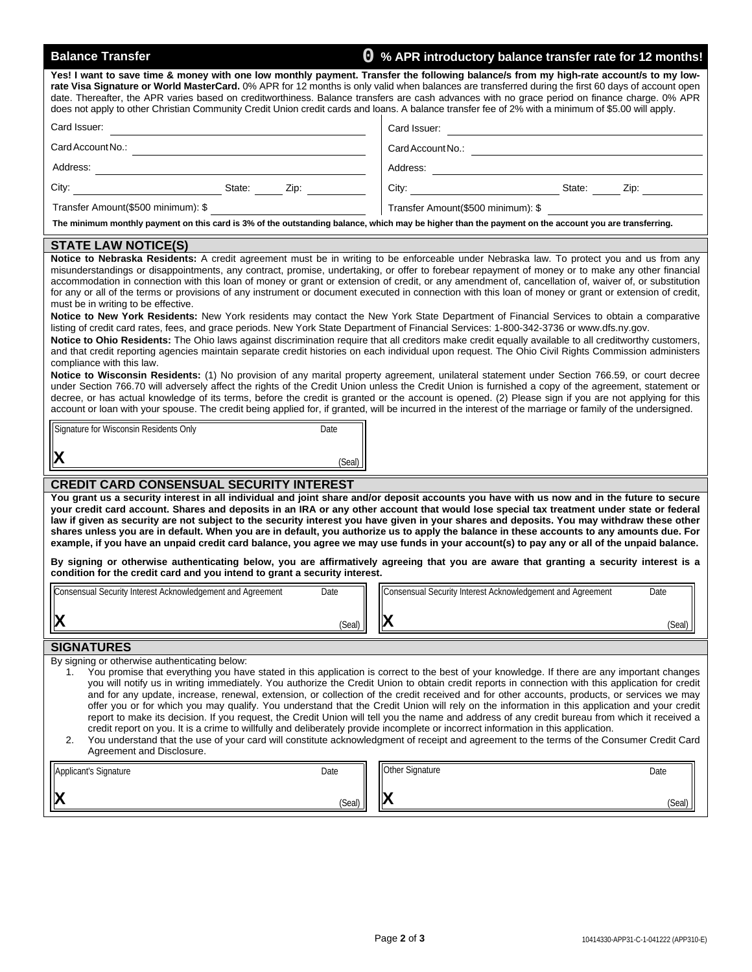| <b>Balance Transfer</b>                                                                                                                                                                                                                                                                                                                                                                                                                                                                                                                                                                                                                                                                                                                                                                                                                                                                                                                                                                                                                                                                                                                                                                                                                                                                                                                                                                                                                                                                                                                                                                                                                                                                                                                                                                                                                             | <b>Q</b> % APR introductory balance transfer rate for 12 months!                                                                                                                                                                                                                                                                                                                                                                                                                                                                                                                                                                                                                                                                                                                                                                                                                                                            |  |  |  |  |  |  |  |  |
|-----------------------------------------------------------------------------------------------------------------------------------------------------------------------------------------------------------------------------------------------------------------------------------------------------------------------------------------------------------------------------------------------------------------------------------------------------------------------------------------------------------------------------------------------------------------------------------------------------------------------------------------------------------------------------------------------------------------------------------------------------------------------------------------------------------------------------------------------------------------------------------------------------------------------------------------------------------------------------------------------------------------------------------------------------------------------------------------------------------------------------------------------------------------------------------------------------------------------------------------------------------------------------------------------------------------------------------------------------------------------------------------------------------------------------------------------------------------------------------------------------------------------------------------------------------------------------------------------------------------------------------------------------------------------------------------------------------------------------------------------------------------------------------------------------------------------------------------------------|-----------------------------------------------------------------------------------------------------------------------------------------------------------------------------------------------------------------------------------------------------------------------------------------------------------------------------------------------------------------------------------------------------------------------------------------------------------------------------------------------------------------------------------------------------------------------------------------------------------------------------------------------------------------------------------------------------------------------------------------------------------------------------------------------------------------------------------------------------------------------------------------------------------------------------|--|--|--|--|--|--|--|--|
| Yes! I want to save time & money with one low monthly payment. Transfer the following balance/s from my high-rate account/s to my low-<br>rate Visa Signature or World MasterCard. 0% APR for 12 months is only valid when balances are transferred during the first 60 days of account open<br>date. Thereafter, the APR varies based on creditworthiness. Balance transfers are cash advances with no grace period on finance charge. 0% APR<br>does not apply to other Christian Community Credit Union credit cards and loans. A balance transfer fee of 2% with a minimum of \$5.00 will apply.                                                                                                                                                                                                                                                                                                                                                                                                                                                                                                                                                                                                                                                                                                                                                                                                                                                                                                                                                                                                                                                                                                                                                                                                                                                |                                                                                                                                                                                                                                                                                                                                                                                                                                                                                                                                                                                                                                                                                                                                                                                                                                                                                                                             |  |  |  |  |  |  |  |  |
| Card Issuer:<br><u> 1989 - Johann Barbara, martxa alemaniar a</u>                                                                                                                                                                                                                                                                                                                                                                                                                                                                                                                                                                                                                                                                                                                                                                                                                                                                                                                                                                                                                                                                                                                                                                                                                                                                                                                                                                                                                                                                                                                                                                                                                                                                                                                                                                                   |                                                                                                                                                                                                                                                                                                                                                                                                                                                                                                                                                                                                                                                                                                                                                                                                                                                                                                                             |  |  |  |  |  |  |  |  |
| Card Account No.:                                                                                                                                                                                                                                                                                                                                                                                                                                                                                                                                                                                                                                                                                                                                                                                                                                                                                                                                                                                                                                                                                                                                                                                                                                                                                                                                                                                                                                                                                                                                                                                                                                                                                                                                                                                                                                   |                                                                                                                                                                                                                                                                                                                                                                                                                                                                                                                                                                                                                                                                                                                                                                                                                                                                                                                             |  |  |  |  |  |  |  |  |
|                                                                                                                                                                                                                                                                                                                                                                                                                                                                                                                                                                                                                                                                                                                                                                                                                                                                                                                                                                                                                                                                                                                                                                                                                                                                                                                                                                                                                                                                                                                                                                                                                                                                                                                                                                                                                                                     |                                                                                                                                                                                                                                                                                                                                                                                                                                                                                                                                                                                                                                                                                                                                                                                                                                                                                                                             |  |  |  |  |  |  |  |  |
| <u>State: Zip: Zip:</u><br>City:                                                                                                                                                                                                                                                                                                                                                                                                                                                                                                                                                                                                                                                                                                                                                                                                                                                                                                                                                                                                                                                                                                                                                                                                                                                                                                                                                                                                                                                                                                                                                                                                                                                                                                                                                                                                                    | City: <u>City:</u> City: City: City: City: City: City: City: City: City: City: City: City: City: City: City: City: City: City: City: City: City: City: City: City: City: City: City: City: City: City: City: City: City: City: City                                                                                                                                                                                                                                                                                                                                                                                                                                                                                                                                                                                                                                                                                         |  |  |  |  |  |  |  |  |
| Transfer Amount(\$500 minimum): \$                                                                                                                                                                                                                                                                                                                                                                                                                                                                                                                                                                                                                                                                                                                                                                                                                                                                                                                                                                                                                                                                                                                                                                                                                                                                                                                                                                                                                                                                                                                                                                                                                                                                                                                                                                                                                  | Transfer Amount(\$500 minimum): \$                                                                                                                                                                                                                                                                                                                                                                                                                                                                                                                                                                                                                                                                                                                                                                                                                                                                                          |  |  |  |  |  |  |  |  |
| The minimum monthly payment on this card is 3% of the outstanding balance, which may be higher than the payment on the account you are transferring.                                                                                                                                                                                                                                                                                                                                                                                                                                                                                                                                                                                                                                                                                                                                                                                                                                                                                                                                                                                                                                                                                                                                                                                                                                                                                                                                                                                                                                                                                                                                                                                                                                                                                                |                                                                                                                                                                                                                                                                                                                                                                                                                                                                                                                                                                                                                                                                                                                                                                                                                                                                                                                             |  |  |  |  |  |  |  |  |
| <b>STATE LAW NOTICE(S)</b><br>Notice to Nebraska Residents: A credit agreement must be in writing to be enforceable under Nebraska law. To protect you and us from any                                                                                                                                                                                                                                                                                                                                                                                                                                                                                                                                                                                                                                                                                                                                                                                                                                                                                                                                                                                                                                                                                                                                                                                                                                                                                                                                                                                                                                                                                                                                                                                                                                                                              |                                                                                                                                                                                                                                                                                                                                                                                                                                                                                                                                                                                                                                                                                                                                                                                                                                                                                                                             |  |  |  |  |  |  |  |  |
| misunderstandings or disappointments, any contract, promise, undertaking, or offer to forebear repayment of money or to make any other financial<br>accommodation in connection with this loan of money or grant or extension of credit, or any amendment of, cancellation of, waiver of, or substitution<br>for any or all of the terms or provisions of any instrument or document executed in connection with this loan of money or grant or extension of credit,<br>must be in writing to be effective.<br>Notice to New York Residents: New York residents may contact the New York State Department of Financial Services to obtain a comparative<br>listing of credit card rates, fees, and grace periods. New York State Department of Financial Services: 1-800-342-3736 or www.dfs.ny.gov.<br>Notice to Ohio Residents: The Ohio laws against discrimination require that all creditors make credit equally available to all creditworthy customers,<br>and that credit reporting agencies maintain separate credit histories on each individual upon request. The Ohio Civil Rights Commission administers<br>compliance with this law.<br>Notice to Wisconsin Residents: (1) No provision of any marital property agreement, unilateral statement under Section 766.59, or court decree<br>under Section 766.70 will adversely affect the rights of the Credit Union unless the Credit Union is furnished a copy of the agreement, statement or<br>decree, or has actual knowledge of its terms, before the credit is granted or the account is opened. (2) Please sign if you are not applying for this<br>account or loan with your spouse. The credit being applied for, if granted, will be incurred in the interest of the marriage or family of the undersigned.<br>Signature for Wisconsin Residents Only<br>Date<br>X<br>(Seal) |                                                                                                                                                                                                                                                                                                                                                                                                                                                                                                                                                                                                                                                                                                                                                                                                                                                                                                                             |  |  |  |  |  |  |  |  |
|                                                                                                                                                                                                                                                                                                                                                                                                                                                                                                                                                                                                                                                                                                                                                                                                                                                                                                                                                                                                                                                                                                                                                                                                                                                                                                                                                                                                                                                                                                                                                                                                                                                                                                                                                                                                                                                     |                                                                                                                                                                                                                                                                                                                                                                                                                                                                                                                                                                                                                                                                                                                                                                                                                                                                                                                             |  |  |  |  |  |  |  |  |
| <b>CREDIT CARD CONSENSUAL SECURITY INTEREST</b><br>You grant us a security interest in all individual and joint share and/or deposit accounts you have with us now and in the future to secure<br>your credit card account. Shares and deposits in an IRA or any other account that would lose special tax treatment under state or federal<br>law if given as security are not subject to the security interest you have given in your shares and deposits. You may withdraw these other<br>shares unless you are in default. When you are in default, you authorize us to apply the balance in these accounts to any amounts due. For<br>example, if you have an unpaid credit card balance, you agree we may use funds in your account(s) to pay any or all of the unpaid balance.<br>By signing or otherwise authenticating below, you are affirmatively agreeing that you are aware that granting a security interest is a                                                                                                                                                                                                                                                                                                                                                                                                                                                                                                                                                                                                                                                                                                                                                                                                                                                                                                                     |                                                                                                                                                                                                                                                                                                                                                                                                                                                                                                                                                                                                                                                                                                                                                                                                                                                                                                                             |  |  |  |  |  |  |  |  |
| condition for the credit card and you intend to grant a security interest.                                                                                                                                                                                                                                                                                                                                                                                                                                                                                                                                                                                                                                                                                                                                                                                                                                                                                                                                                                                                                                                                                                                                                                                                                                                                                                                                                                                                                                                                                                                                                                                                                                                                                                                                                                          |                                                                                                                                                                                                                                                                                                                                                                                                                                                                                                                                                                                                                                                                                                                                                                                                                                                                                                                             |  |  |  |  |  |  |  |  |
| Consensual Security Interest Acknowledgement and Agreement<br>Date                                                                                                                                                                                                                                                                                                                                                                                                                                                                                                                                                                                                                                                                                                                                                                                                                                                                                                                                                                                                                                                                                                                                                                                                                                                                                                                                                                                                                                                                                                                                                                                                                                                                                                                                                                                  | Consensual Security Interest Acknowledgement and Agreement<br>Date                                                                                                                                                                                                                                                                                                                                                                                                                                                                                                                                                                                                                                                                                                                                                                                                                                                          |  |  |  |  |  |  |  |  |
| X<br>(Seal)                                                                                                                                                                                                                                                                                                                                                                                                                                                                                                                                                                                                                                                                                                                                                                                                                                                                                                                                                                                                                                                                                                                                                                                                                                                                                                                                                                                                                                                                                                                                                                                                                                                                                                                                                                                                                                         | (Seal)                                                                                                                                                                                                                                                                                                                                                                                                                                                                                                                                                                                                                                                                                                                                                                                                                                                                                                                      |  |  |  |  |  |  |  |  |
|                                                                                                                                                                                                                                                                                                                                                                                                                                                                                                                                                                                                                                                                                                                                                                                                                                                                                                                                                                                                                                                                                                                                                                                                                                                                                                                                                                                                                                                                                                                                                                                                                                                                                                                                                                                                                                                     |                                                                                                                                                                                                                                                                                                                                                                                                                                                                                                                                                                                                                                                                                                                                                                                                                                                                                                                             |  |  |  |  |  |  |  |  |
| <b>SIGNATURES</b><br>By signing or otherwise authenticating below:<br>1.<br>credit report on you. It is a crime to willfully and deliberately provide incomplete or incorrect information in this application.<br>2.<br>Agreement and Disclosure.<br>Applicant's Signature<br>Date                                                                                                                                                                                                                                                                                                                                                                                                                                                                                                                                                                                                                                                                                                                                                                                                                                                                                                                                                                                                                                                                                                                                                                                                                                                                                                                                                                                                                                                                                                                                                                  | You promise that everything you have stated in this application is correct to the best of your knowledge. If there are any important changes<br>you will notify us in writing immediately. You authorize the Credit Union to obtain credit reports in connection with this application for credit<br>and for any update, increase, renewal, extension, or collection of the credit received and for other accounts, products, or services we may<br>offer you or for which you may qualify. You understand that the Credit Union will rely on the information in this application and your credit<br>report to make its decision. If you request, the Credit Union will tell you the name and address of any credit bureau from which it received a<br>You understand that the use of your card will constitute acknowledgment of receipt and agreement to the terms of the Consumer Credit Card<br>Other Signature<br>Date |  |  |  |  |  |  |  |  |
| (Seal)                                                                                                                                                                                                                                                                                                                                                                                                                                                                                                                                                                                                                                                                                                                                                                                                                                                                                                                                                                                                                                                                                                                                                                                                                                                                                                                                                                                                                                                                                                                                                                                                                                                                                                                                                                                                                                              | (Seal)                                                                                                                                                                                                                                                                                                                                                                                                                                                                                                                                                                                                                                                                                                                                                                                                                                                                                                                      |  |  |  |  |  |  |  |  |
|                                                                                                                                                                                                                                                                                                                                                                                                                                                                                                                                                                                                                                                                                                                                                                                                                                                                                                                                                                                                                                                                                                                                                                                                                                                                                                                                                                                                                                                                                                                                                                                                                                                                                                                                                                                                                                                     |                                                                                                                                                                                                                                                                                                                                                                                                                                                                                                                                                                                                                                                                                                                                                                                                                                                                                                                             |  |  |  |  |  |  |  |  |